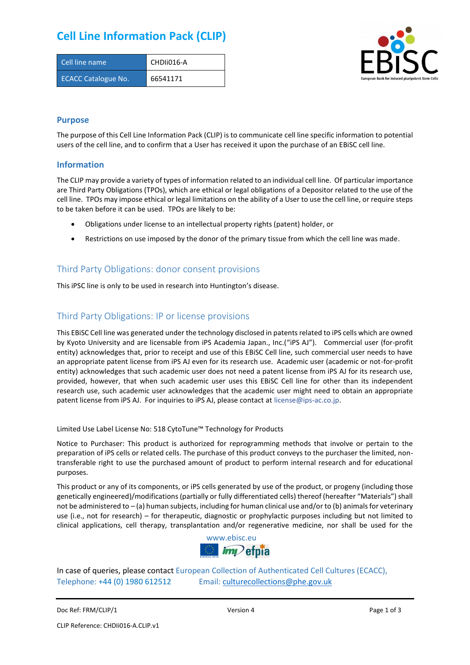## **Cell Line Information Pack (CLIP)**

| Cell line name             | CHDII016-A |
|----------------------------|------------|
| <b>ECACC Catalogue No.</b> | 66541171   |



### **Purpose**

The purpose of this Cell Line Information Pack (CLIP) is to communicate cell line specific information to potential users of the cell line, and to confirm that a User has received it upon the purchase of an EBiSC cell line.

#### **Information**

The CLIP may provide a variety of types of information related to an individual cell line. Of particular importance are Third Party Obligations (TPOs), which are ethical or legal obligations of a Depositor related to the use of the cell line. TPOs may impose ethical or legal limitations on the ability of a User to use the cell line, or require steps to be taken before it can be used. TPOs are likely to be:

- Obligations under license to an intellectual property rights (patent) holder, or
- Restrictions on use imposed by the donor of the primary tissue from which the cell line was made.

### Third Party Obligations: donor consent provisions

This iPSC line is only to be used in research into Huntington's disease.

### Third Party Obligations: IP or license provisions

This EBiSC Cell line was generated under the technology disclosed in patents related to iPS cells which are owned by Kyoto University and are licensable from iPS Academia Japan., Inc.("iPS AJ"). Commercial user (for-profit entity) acknowledges that, prior to receipt and use of this EBiSC Cell line, such commercial user needs to have an appropriate patent license from iPS AJ even for its research use. Academic user (academic or not-for-profit entity) acknowledges that such academic user does not need a patent license from iPS AJ for its research use, provided, however, that when such academic user uses this EBiSC Cell line for other than its independent research use, such academic user acknowledges that the academic user might need to obtain an appropriate patent license from iPS AJ. For inquiries to iPS AJ, please contact at [license@ips-ac.co.jp.](mailto:license@ips-ac.co.jp)

Limited Use Label License No: 518 CytoTune™ Technology for Products

Notice to Purchaser: This product is authorized for reprogramming methods that involve or pertain to the preparation of iPS cells or related cells. The purchase of this product conveys to the purchaser the limited, nontransferable right to use the purchased amount of product to perform internal research and for educational purposes.

This product or any of its components, or iPS cells generated by use of the product, or progeny (including those genetically engineered)/modifications (partially or fully differentiated cells) thereof (hereafter "Materials") shall not be administered to – (a) human subjects, including for human clinical use and/or to (b) animals for veterinary use (i.e., not for research) – for therapeutic, diagnostic or prophylactic purposes including but not limited to clinical applications, cell therapy, transplantation and/or regenerative medicine, nor shall be used for the



In case of queries, please contact European Collection of Authenticated Cell Cultures (ECACC), Telephone: +44 (0) 1980 612512 Email: [culturecollections@phe.gov.uk](mailto:culturecollections@phe.gov.uk)

Doc Ref: FRM/CLIP/1 **Docessition 2** Page 1 of 3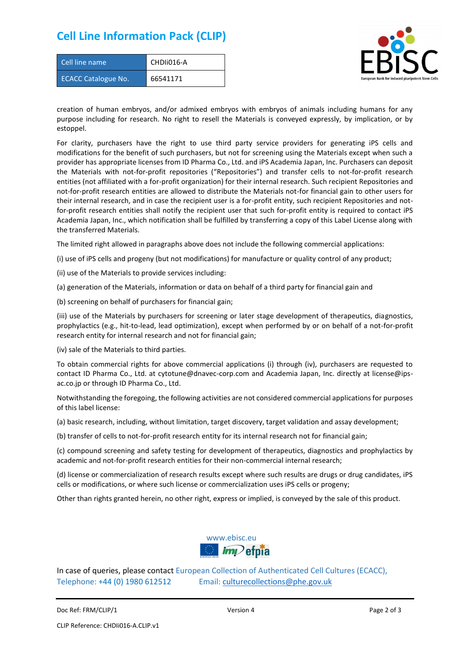### **Cell Line Information Pack (CLIP)**

| Cell line name             | CHDIi016-A |
|----------------------------|------------|
| <b>ECACC Catalogue No.</b> | 66541171   |



creation of human embryos, and/or admixed embryos with embryos of animals including humans for any purpose including for research. No right to resell the Materials is conveyed expressly, by implication, or by estoppel.

For clarity, purchasers have the right to use third party service providers for generating iPS cells and modifications for the benefit of such purchasers, but not for screening using the Materials except when such a provider has appropriate licenses from ID Pharma Co., Ltd. and iPS Academia Japan, Inc. Purchasers can deposit the Materials with not-for-profit repositories ("Repositories") and transfer cells to not-for-profit research entities (not affiliated with a for-profit organization) for their internal research. Such recipient Repositories and not-for-profit research entities are allowed to distribute the Materials not-for financial gain to other users for their internal research, and in case the recipient user is a for-profit entity, such recipient Repositories and notfor-profit research entities shall notify the recipient user that such for-profit entity is required to contact iPS Academia Japan, Inc., which notification shall be fulfilled by transferring a copy of this Label License along with the transferred Materials.

The limited right allowed in paragraphs above does not include the following commercial applications:

(i) use of iPS cells and progeny (but not modifications) for manufacture or quality control of any product;

- (ii) use of the Materials to provide services including:
- (a) generation of the Materials, information or data on behalf of a third party for financial gain and

(b) screening on behalf of purchasers for financial gain;

(iii) use of the Materials by purchasers for screening or later stage development of therapeutics, diagnostics, prophylactics (e.g., hit-to-lead, lead optimization), except when performed by or on behalf of a not-for-profit research entity for internal research and not for financial gain;

(iv) sale of the Materials to third parties.

To obtain commercial rights for above commercial applications (i) through (iv), purchasers are requested to contact ID Pharma Co., Ltd. at cytotune@dnavec-corp.com and Academia Japan, Inc. directly at license@ipsac.co.jp or through ID Pharma Co., Ltd.

Notwithstanding the foregoing, the following activities are not considered commercial applications for purposes of this label license:

(a) basic research, including, without limitation, target discovery, target validation and assay development;

(b) transfer of cells to not-for-profit research entity for its internal research not for financial gain;

(c) compound screening and safety testing for development of therapeutics, diagnostics and prophylactics by academic and not-for-profit research entities for their non-commercial internal research;

(d) license or commercialization of research results except where such results are drugs or drug candidates, iPS cells or modifications, or where such license or commercialization uses iPS cells or progeny;

Other than rights granted herein, no other right, express or implied, is conveyed by the sale of this product.



In case of queries, please contact European Collection of Authenticated Cell Cultures (ECACC), Telephone: +44 (0) 1980 612512 Email: [culturecollections@phe.gov.uk](mailto:culturecollections@phe.gov.uk)